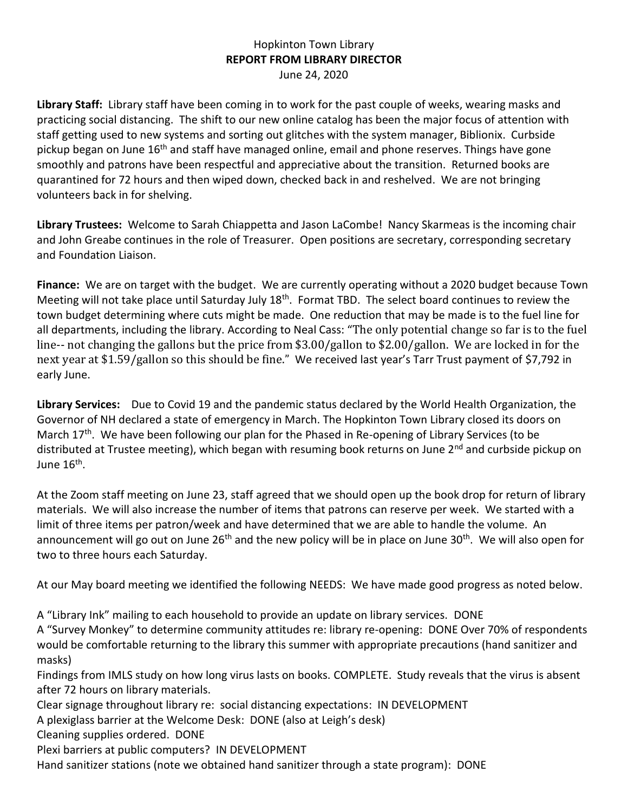## Hopkinton Town Library **REPORT FROM LIBRARY DIRECTOR** June 24, 2020

**Library Staff:** Library staff have been coming in to work for the past couple of weeks, wearing masks and practicing social distancing. The shift to our new online catalog has been the major focus of attention with staff getting used to new systems and sorting out glitches with the system manager, Biblionix. Curbside pickup began on June 16<sup>th</sup> and staff have managed online, email and phone reserves. Things have gone smoothly and patrons have been respectful and appreciative about the transition. Returned books are quarantined for 72 hours and then wiped down, checked back in and reshelved. We are not bringing volunteers back in for shelving.

**Library Trustees:** Welcome to Sarah Chiappetta and Jason LaCombe! Nancy Skarmeas is the incoming chair and John Greabe continues in the role of Treasurer. Open positions are secretary, corresponding secretary and Foundation Liaison.

**Finance:** We are on target with the budget. We are currently operating without a 2020 budget because Town Meeting will not take place until Saturday July 18<sup>th</sup>. Format TBD. The select board continues to review the town budget determining where cuts might be made. One reduction that may be made is to the fuel line for all departments, including the library. According to Neal Cass: "The only potential change so far is to the fuel line-- not changing the gallons but the price from \$3.00/gallon to \$2.00/gallon. We are locked in for the next year at \$1.59/gallon so this should be fine." We received last year's Tarr Trust payment of \$7,792 in early June.

**Library Services:** Due to Covid 19 and the pandemic status declared by the World Health Organization, the Governor of NH declared a state of emergency in March. The Hopkinton Town Library closed its doors on March 17<sup>th</sup>. We have been following our plan for the Phased in Re-opening of Library Services (to be distributed at Trustee meeting), which began with resuming book returns on June 2<sup>nd</sup> and curbside pickup on June 16<sup>th</sup>.

At the Zoom staff meeting on June 23, staff agreed that we should open up the book drop for return of library materials. We will also increase the number of items that patrons can reserve per week. We started with a limit of three items per patron/week and have determined that we are able to handle the volume. An announcement will go out on June  $26<sup>th</sup>$  and the new policy will be in place on June 30<sup>th</sup>. We will also open for two to three hours each Saturday.

At our May board meeting we identified the following NEEDS: We have made good progress as noted below.

A "Library Ink" mailing to each household to provide an update on library services. DONE

A "Survey Monkey" to determine community attitudes re: library re-opening: DONE Over 70% of respondents would be comfortable returning to the library this summer with appropriate precautions (hand sanitizer and masks)

Findings from IMLS study on how long virus lasts on books. COMPLETE. Study reveals that the virus is absent after 72 hours on library materials.

Clear signage throughout library re: social distancing expectations: IN DEVELOPMENT

A plexiglass barrier at the Welcome Desk: DONE (also at Leigh's desk)

Cleaning supplies ordered. DONE

Plexi barriers at public computers? IN DEVELOPMENT

Hand sanitizer stations (note we obtained hand sanitizer through a state program): DONE